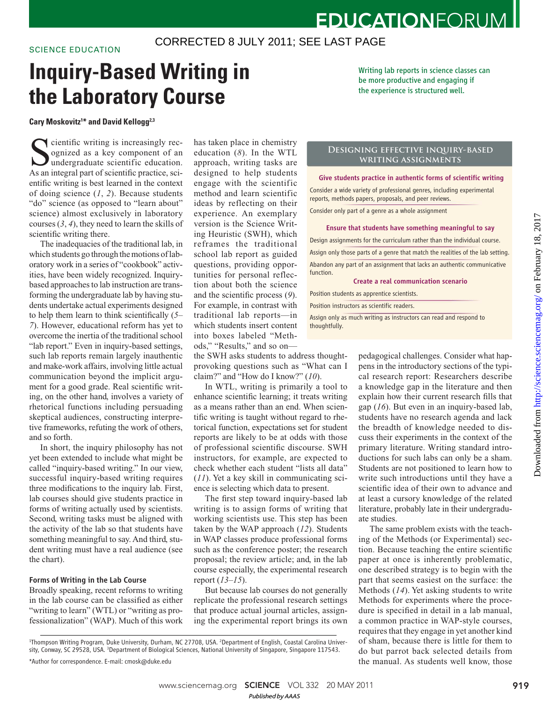### EDUCATIONFORUM

### CORRECTED 8 JULY 2011; SEE LAST PAGE

# **Inquiry-Based Writing in the Laboratory Course**

Writing lab reports in science classes can be more productive and engaging if the experience is structured well.

**Cary Moskovitz <sup>1</sup>\* and David Kellogg 2, 3** 

SCIENCE EDUCATION

Scientific writing is increasingly recognized as a key component of an undergraduate scientific education.<br>As an integral part of scientific practice. sciognized as a key component of an undergraduate scientific education. As an integral part of scientific practice, scientific writing is best learned in the context of doing science  $(1, 2)$ . Because students "do" science (as opposed to "learn about" science) almost exclusively in laboratory courses  $(3, 4)$ , they need to learn the skills of scientific writing there.

The inadequacies of the traditional lab, in which students go through the motions of laboratory work in a series of "cookbook" activities, have been widely recognized. Inquirybased approaches to lab instruction are transforming the undergraduate lab by having students undertake actual experiments designed to help them learn to think scientifically  $(5 -$ *7*). However, educational reform has yet to overcome the inertia of the traditional school "lab report." Even in inquiry-based settings, such lab reports remain largely inauthentic and make-work affairs, involving little actual communication beyond the implicit argument for a good grade. Real scientific writing, on the other hand, involves a variety of rhetorical functions including persuading skeptical audiences, constructing interpretive frameworks, refuting the work of others, and so forth.

In short, the inquiry philosophy has not yet been extended to include what might be called "inquiry-based writing." In our view, successful inquiry-based writing requires three modifications to the inquiry lab. First, lab courses should give students practice in forms of writing actually used by scientists. Second, writing tasks must be aligned with the activity of the lab so that students have something meaningful to say. And third, student writing must have a real audience (see the chart).

#### Forms of Writing in the Lab Course

Broadly speaking, recent reforms to writing in the lab course can be classified as either "writing to learn" (WTL) or "writing as professionalization" (WAP). Much of this work

has taken place in chemistry education  $(8)$ . In the WTL approach, writing tasks are designed to help students engage with the scientific method and learn scientific ideas by reflecting on their experience. An exemplary version is the Science Writing Heuristic (SWH), which reframes the traditional school lab report as guided questions, providing opportunities for personal reflection about both the science and the scientific process (9). For example, in contrast with traditional lab reports—in which students insert content into boxes labeled "Methods," "Results," and so on—

the SWH asks students to address thoughtprovoking questions such as "What can I claim?" and "How do I know?" (10).

In WTL, writing is primarily a tool to enhance scientific learning; it treats writing as a means rather than an end. When scientific writing is taught without regard to rhetorical function, expectations set for student reports are likely to be at odds with those of professional scientific discourse. SWH instructors, for example, are expected to check whether each student "lists all data" ( *11*). Yet a key skill in communicating science is selecting which data to present.

The first step toward inquiry-based lab writing is to assign forms of writing that working scientists use. This step has been taken by the WAP approach (12). Students in WAP classes produce professional forms such as the conference poster; the research proposal; the review article; and, in the lab course especially, the experimental research report ( *13*– *15*).

But because lab courses do not generally replicate the professional research settings that produce actual journal articles, assigning the experimental report brings its own

#### Give students practice in authentic forms of scientific writing

Consider a wide variety of professional genres, including experimental reports, methods papers, proposals, and peer reviews.

Consider only part of a genre as a whole assignment

#### Ensure that students have something meaningful to say

Design assignments for the curriculum rather than the individual course. Assign only those parts of a genre that match the realities of the lab setting. Abandon any part of an assignment that lacks an authentic communicative function.

Create a real communication scenario

Position students as apprentice scientists.

Position instructors as scientific readers.

Assign only as much writing as instructors can read and respond to thoughtfully.

> pedagogical challenges. Consider what happens in the introductory sections of the typical research report: Researchers describe a knowledge gap in the literature and then explain how their current research fills that gap ( *16*). But even in an inquiry-based lab, students have no research agenda and lack the breadth of knowledge needed to discuss their experiments in the context of the primary literature. Writing standard introductions for such labs can only be a sham. Students are not positioned to learn how to write such introductions until they have a scientific idea of their own to advance and at least a cursory knowledge of the related literature, probably late in their undergraduate studies.

> The same problem exists with the teaching of the Methods (or Experimental) section. Because teaching the entire scientific paper at once is inherently problematic, one described strategy is to begin with the part that seems easiest on the surface: the Methods (14). Yet asking students to write Methods for experiments where the procedure is specified in detail in a lab manual, a common practice in WAP-style courses, requires that they engage in yet another kind of sham, because there is little for them to do but parrot back selected details from the manual. As students well know, those

<sup>1</sup>Thompson Writing Program, Duke University, Durham, NC 27708, USA. <sup>2</sup>Department of English, Coastal Carolina University, Conway, SC 29528, USA. <sup>3</sup>Department of Biological Sciences, National University of Singapore, Singapore 117543.

\*Author for correspondence. E-mail: cmosk@duke.edu

www.sciencemag.org **SCIENCE** VOL 332 20 MAY 2011 919 *Published byAAAS*

**Designing effective inquiry-based writing assignments**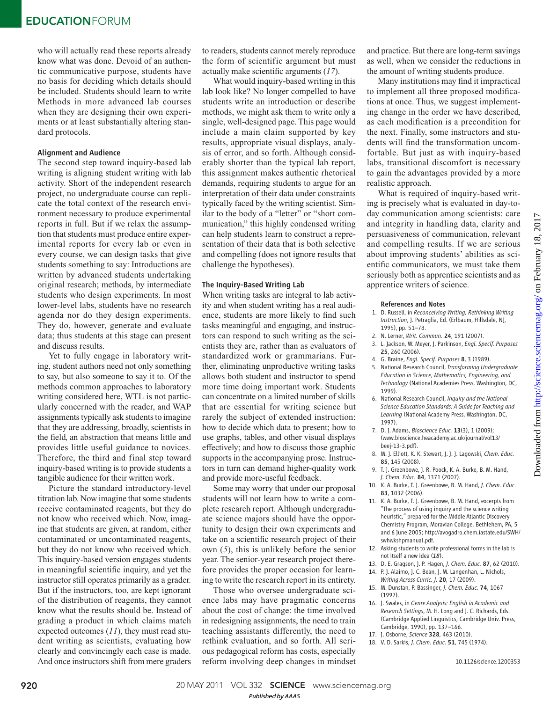who will actually read these reports already know what was done. Devoid of an authentic communicative purpose, students have no basis for deciding which details should be included. Students should learn to write Methods in more advanced lab courses when they are designing their own experiments or at least substantially altering standard protocols.

#### Alignment and Audience

The second step toward inquiry-based lab writing is aligning student writing with lab activity. Short of the independent research project, no undergraduate course can replicate the total context of the research environment necessary to produce experimental reports in full. But if we relax the assumption that students must produce entire experimental reports for every lab or even in every course, we can design tasks that give students something to say: Introductions are written by advanced students undertaking original research; methods, by intermediate students who design experiments. In most lower-level labs, students have no research agenda nor do they design experiments. They do, however, generate and evaluate data; thus students at this stage can present and discuss results.

Yet to fully engage in laboratory writing, student authors need not only something to say, but also someone to say it to. Of the methods common approaches to laboratory writing considered here, WTL is not particularly concerned with the reader, and WAP assignments typically ask students to imagine that they are addressing, broadly, scientists in the field, an abstraction that means little and provides little useful guidance to novices. Therefore, the third and final step toward inquiry-based writing is to provide students a tangible audience for their written work.

Picture the standard introductory-level titration lab. Now imagine that some students receive contaminated reagents, but they do not know who received which. Now, imagine that students are given, at random, either contaminated or uncontaminated reagents, but they do not know who received which. This inquiry-based version engages students in meaningful scientific inquiry, and yet the instructor still operates primarily as a grader. But if the instructors, too, are kept ignorant of the distribution of reagents, they cannot know what the results should be. Instead of grading a product in which claims match expected outcomes  $(11)$ , they must read student writing as scientists, evaluating how clearly and convincingly each case is made. And once instructors shift from mere graders

to readers, students cannot merely reproduce the form of scientific argument but must actually make scientific arguments (17).

What would inquiry-based writing in this lab look like? No longer compelled to have students write an introduction or describe methods, we might ask them to write only a single, well-designed page. This page would include a main claim supported by key results, appropriate visual displays, analysis of error, and so forth. Although considerably shorter than the typical lab report, this assignment makes authentic rhetorical demands, requiring students to argue for an interpretation of their data under constraints typically faced by the writing scientist. Similar to the body of a "letter" or "short communication," this highly condensed writing can help students learn to construct a representation of their data that is both selective and compelling (does not ignore results that challenge the hypotheses).

#### The Inquiry-Based Writing Lab

When writing tasks are integral to lab activity and when student writing has a real audience, students are more likely to find such tasks meaningful and engaging, and instructors can respond to such writing as the scientists they are, rather than as evaluators of standardized work or grammarians. Further, eliminating unproductive writing tasks allows both student and instructor to spend more time doing important work. Students can concentrate on a limited number of skills that are essential for writing science but rarely the subject of extended instruction: how to decide which data to present; how to use graphs, tables, and other visual displays effectively; and how to discuss those graphic supports in the accompanying prose. Instructors in turn can demand higher-quality work and provide more-useful feedback.

Some may worry that under our proposal students will not learn how to write a complete research report. Although undergraduate science majors should have the opportunity to design their own experiments and take on a scientific research project of their own  $(5)$ , this is unlikely before the senior year. The senior-year research project therefore provides the proper occasion for learning to write the research report in its entirety.

Those who oversee undergraduate science labs may have pragmatic concerns about the cost of change: the time involved in redesigning assignments, the need to train teaching assistants differently, the need to rethink evaluation, and so forth. All serious pedagogical reform has costs, especially reform involving deep changes in mindset and practice. But there are long-term savings as well, when we consider the reductions in the amount of writing students produce.

Many institutions may find it impractical to implement all three proposed modifications at once. Thus, we suggest implementing change in the order we have described, as each modification is a precondition for the next. Finally, some instructors and students will find the transformation uncomfortable. But just as with inquiry-based labs, transitional discomfort is necessary to gain the advantages provided by a more realistic approach.

What is required of inquiry-based writing is precisely what is evaluated in day-today communication among scientists: care and integrity in handling data, clarity and persuasiveness of communication, relevant and compelling results. If we are serious about improving students' abilities as scientific communicators, we must take them seriously both as apprentice scientists and as apprentice writers of science.

#### References and Notes

- 1. D. Russell, in *Reconceiving Writing, Rethinking Writing Instruction*, J. Petraglia, Ed. (Erlbaum, Hillsdale, NJ, 1995), pp. 51–78.
- 2. N. Lerner, *Writ. Commun.* 24, 191 (2007).
- 3. L. Jackson, W. Meyer, J. Parkinson, *Engl. Specif. Purposes* 25, 260 (2006).
- 4. G. Braine, *Engl. Specif. Purposes* 8, 3 (1989).
- 5. National Research Council, *Transforming Undergraduate Education in Science, Mathematics, Engineering, and Technology* (National Academies Press, Washington, DC, 1999).
- 6. National Research Council, *Inquiry and the National Science Education Standards: A Guide for Teaching and Learning* (National Academy Press, Washington, DC, 1997).
- 7. D. J. Adams, *Bioscience Educ.* 13(3), 1 (2009); (www.bioscience.heacademy.ac.uk/journal/vol13/ beej-13-3.pdf).
- 8. M. J. Elliott, K. K. Stewart, J. J. J. Lagowski, *Chem. Educ.* 85, 145 (2008).
- 9. T. J. Greenbowe, J. R. Poock, K. A. Burke, B. M. Hand, *J. Chem. Educ.* 84, 1371 (2007).
- 10. K. A. Burke, T. J. Greenbowe, B. M. Hand, *J. Chem. Educ.* 83, 1032 (2006).
- 11. K. A. Burke, T. J. Greenbowe, B. M. Hand, excerpts from "The process of using inquiry and the science writing heuristic," prepared for the Middle Atlantic Discovery Chemistry Program, Moravian College, Bethlehem, PA, 5 and 6 June 2005; http://avogadro.chem.iastate.edu/SWH/ swhwkshpmanual.pdf.
- 12. Asking students to write professional forms in the lab is not itself a new idea (18).
- 13. D. E. Gragson, J. P. Hagen, *J. Chem. Educ.* 87, 62 (2010).
- 14. P. J. Alaimo, J. C. Bean, J. M. Langenhan, L. Nichols, *Writing Across Curric. J.* 20, 17 (2009).
- 15. M. Dunstan, P. Bassinger, *J. Chem. Educ.* 74, 1067 (1997).
- 16. J. Swales, in *Genre Analysis: English in Academic and Research Settings*, M. H. Long and J. C. Richards, Eds. (Cambridge Applied Linguistics, Cambridge Univ. Press, Cambridge, 1990), pp. 137–166.
- 17. J. Osborne, *Science* 328, 463 (2010).
- 18. V. D. Sarkis, *J. Chem. Educ.* 51, 745 (1974).

**920** 20 MAY 2011 VOL 332 **SCIENCE** www.sciencemag.org *Published byAAAS*

<http://science.sciencemag.org/> on February 18, 2017 Oownloaded from http://science.sciencemag.org/ on February 18, Downloaded from

2017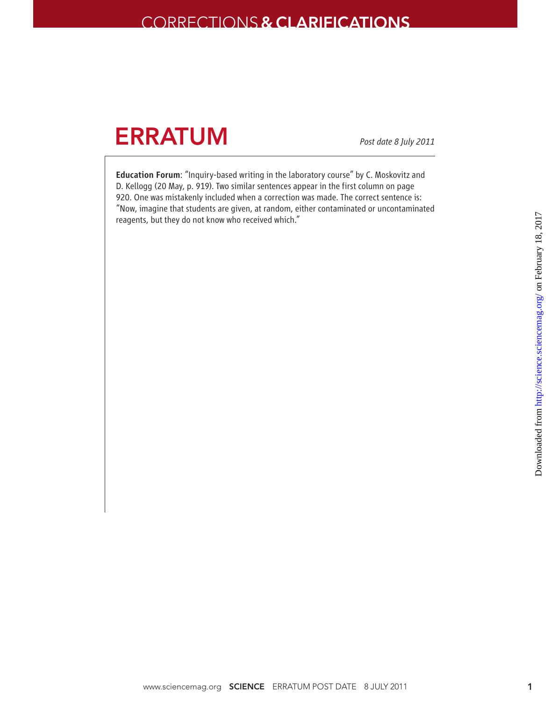### CORRECTIONS & CLARIFICATIONS

## ERRATUM

*Post date 8 July 2011*

Education Forum: "Inquiry-based writing in the laboratory course" by C. Moskovitz and D. Kellogg (20 May, p. 919). Two similar sentences appear in the first column on page 920. One was mistakenly included when a correction was made. The correct sentence is: "Now, imagine that students are given, at random, either contaminated or uncontaminated reagents, but they do not know who received which."